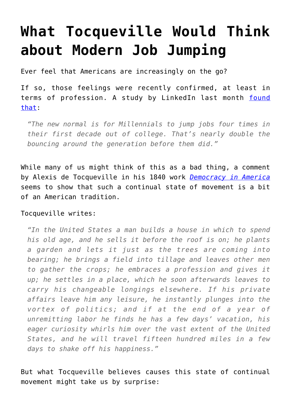## **[What Tocqueville Would Think](https://intellectualtakeout.org/2016/05/what-tocqueville-would-think-about-modern-job-jumping/) [about Modern Job Jumping](https://intellectualtakeout.org/2016/05/what-tocqueville-would-think-about-modern-job-jumping/)**

Ever feel that Americans are increasingly on the go?

If so, those feelings were recently confirmed, at least in terms of profession. A study by LinkedIn last month [found](http://money.cnn.com/2016/04/12/news/economy/millennials-change-jobs-frequently/) [that](http://money.cnn.com/2016/04/12/news/economy/millennials-change-jobs-frequently/):

*"The new normal is for Millennials to jump jobs four times in their first decade out of college. That's nearly double the bouncing around the generation before them did."*

While many of us might think of this as a bad thing, a comment by Alexis de Tocqueville in his 1840 work *[Democracy in America](http://www.amazon.com/gp/product/0226805360/ref=as_li_qf_sp_asin_il_tl?ie=UTF8&camp=1789&creative=9325&creativeASIN=0226805360&linkCode=as2&tag=intelltakeo0d-20&linkId=M7K474ZHJHNJJCCF)* seems to show that such a continual state of movement is a bit of an American tradition.

## Tocqueville writes:

*"In the United States a man builds a house in which to spend his old age, and he sells it before the roof is on; he plants a garden and lets it just as the trees are coming into bearing; he brings a field into tillage and leaves other men to gather the crops; he embraces a profession and gives it up; he settles in a place, which he soon afterwards leaves to carry his changeable longings elsewhere. If his private affairs leave him any leisure, he instantly plunges into the vortex of politics; and if at the end of a year of unremitting labor he finds he has a few days' vacation, his eager curiosity whirls him over the vast extent of the United States, and he will travel fifteen hundred miles in a few days to shake off his happiness."*

But what Tocqueville believes causes this state of continual movement might take us by surprise: